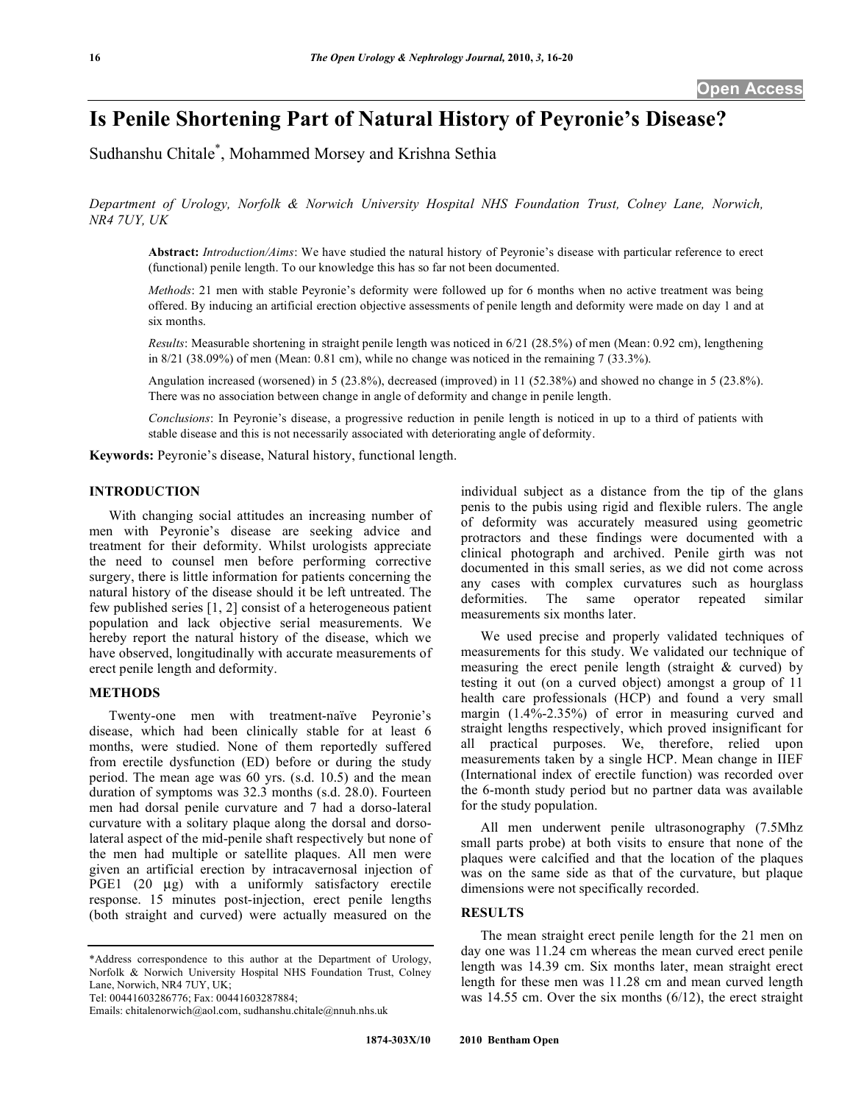# **Is Penile Shortening Part of Natural History of Peyronie's Disease?**

Sudhanshu Chitale\* , Mohammed Morsey and Krishna Sethia

*Department of Urology, Norfolk & Norwich University Hospital NHS Foundation Trust, Colney Lane, Norwich, NR4 7UY, UK* 

**Abstract:** *Introduction/Aims*: We have studied the natural history of Peyronie's disease with particular reference to erect (functional) penile length. To our knowledge this has so far not been documented.

*Methods*: 21 men with stable Peyronie's deformity were followed up for 6 months when no active treatment was being offered. By inducing an artificial erection objective assessments of penile length and deformity were made on day 1 and at six months.

*Results*: Measurable shortening in straight penile length was noticed in 6/21 (28.5%) of men (Mean: 0.92 cm), lengthening in  $8/21$  (38.09%) of men (Mean: 0.81 cm), while no change was noticed in the remaining 7 (33.3%).

Angulation increased (worsened) in 5 (23.8%), decreased (improved) in 11 (52.38%) and showed no change in 5 (23.8%). There was no association between change in angle of deformity and change in penile length.

*Conclusions*: In Peyronie's disease, a progressive reduction in penile length is noticed in up to a third of patients with stable disease and this is not necessarily associated with deteriorating angle of deformity.

**Keywords:** Peyronie's disease, Natural history, functional length.

# **INTRODUCTION**

 With changing social attitudes an increasing number of men with Peyronie's disease are seeking advice and treatment for their deformity. Whilst urologists appreciate the need to counsel men before performing corrective surgery, there is little information for patients concerning the natural history of the disease should it be left untreated. The few published series [1, 2] consist of a heterogeneous patient population and lack objective serial measurements. We hereby report the natural history of the disease, which we have observed, longitudinally with accurate measurements of erect penile length and deformity.

# **METHODS**

 Twenty-one men with treatment-naïve Peyronie's disease, which had been clinically stable for at least 6 months, were studied. None of them reportedly suffered from erectile dysfunction (ED) before or during the study period. The mean age was 60 yrs. (s.d. 10.5) and the mean duration of symptoms was 32.3 months (s.d. 28.0). Fourteen men had dorsal penile curvature and 7 had a dorso-lateral curvature with a solitary plaque along the dorsal and dorsolateral aspect of the mid-penile shaft respectively but none of the men had multiple or satellite plaques. All men were given an artificial erection by intracavernosal injection of PGE1 (20 μg) with a uniformly satisfactory erectile response. 15 minutes post-injection, erect penile lengths (both straight and curved) were actually measured on the

Tel: 00441603286776; Fax: 00441603287884;

individual subject as a distance from the tip of the glans penis to the pubis using rigid and flexible rulers. The angle of deformity was accurately measured using geometric protractors and these findings were documented with a clinical photograph and archived. Penile girth was not documented in this small series, as we did not come across any cases with complex curvatures such as hourglass deformities. The same operator repeated similar measurements six months later.

 We used precise and properly validated techniques of measurements for this study. We validated our technique of measuring the erect penile length (straight & curved) by testing it out (on a curved object) amongst a group of 11 health care professionals (HCP) and found a very small margin (1.4%-2.35%) of error in measuring curved and straight lengths respectively, which proved insignificant for all practical purposes. We, therefore, relied upon measurements taken by a single HCP. Mean change in IIEF (International index of erectile function) was recorded over the 6-month study period but no partner data was available for the study population.

 All men underwent penile ultrasonography (7.5Mhz small parts probe) at both visits to ensure that none of the plaques were calcified and that the location of the plaques was on the same side as that of the curvature, but plaque dimensions were not specifically recorded.

# **RESULTS**

 The mean straight erect penile length for the 21 men on day one was 11.24 cm whereas the mean curved erect penile length was 14.39 cm. Six months later, mean straight erect length for these men was 11.28 cm and mean curved length was 14.55 cm. Over the six months (6/12), the erect straight

<sup>\*</sup>Address correspondence to this author at the Department of Urology, Norfolk & Norwich University Hospital NHS Foundation Trust, Colney Lane, Norwich, NR4 7UY, UK;

Emails: chitalenorwich@aol.com, sudhanshu.chitale@nnuh.nhs.uk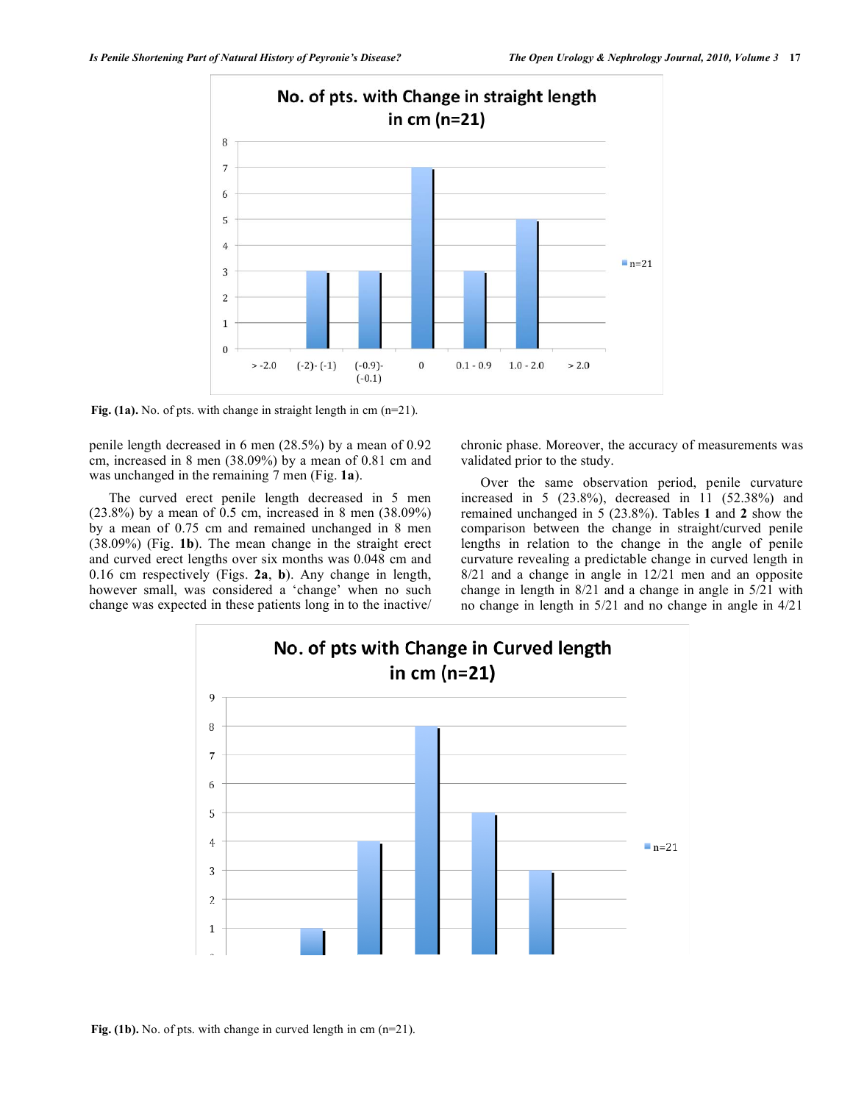

Fig. (1a). No. of pts. with change in straight length in cm (n=21).

penile length decreased in 6 men (28.5%) by a mean of 0.92 cm, increased in 8 men (38.09%) by a mean of 0.81 cm and was unchanged in the remaining 7 men (Fig. **1a**).

 The curved erect penile length decreased in 5 men (23.8%) by a mean of 0.5 cm, increased in 8 men (38.09%) by a mean of 0.75 cm and remained unchanged in 8 men (38.09%) (Fig. **1b**). The mean change in the straight erect and curved erect lengths over six months was 0.048 cm and 0.16 cm respectively (Figs. **2a**, **b**). Any change in length, however small, was considered a 'change' when no such change was expected in these patients long in to the inactive/ chronic phase. Moreover, the accuracy of measurements was validated prior to the study.

 Over the same observation period, penile curvature increased in 5 (23.8%), decreased in 11 (52.38%) and remained unchanged in 5 (23.8%). Tables **1** and **2** show the comparison between the change in straight/curved penile lengths in relation to the change in the angle of penile curvature revealing a predictable change in curved length in 8/21 and a change in angle in 12/21 men and an opposite change in length in 8/21 and a change in angle in 5/21 with no change in length in 5/21 and no change in angle in 4/21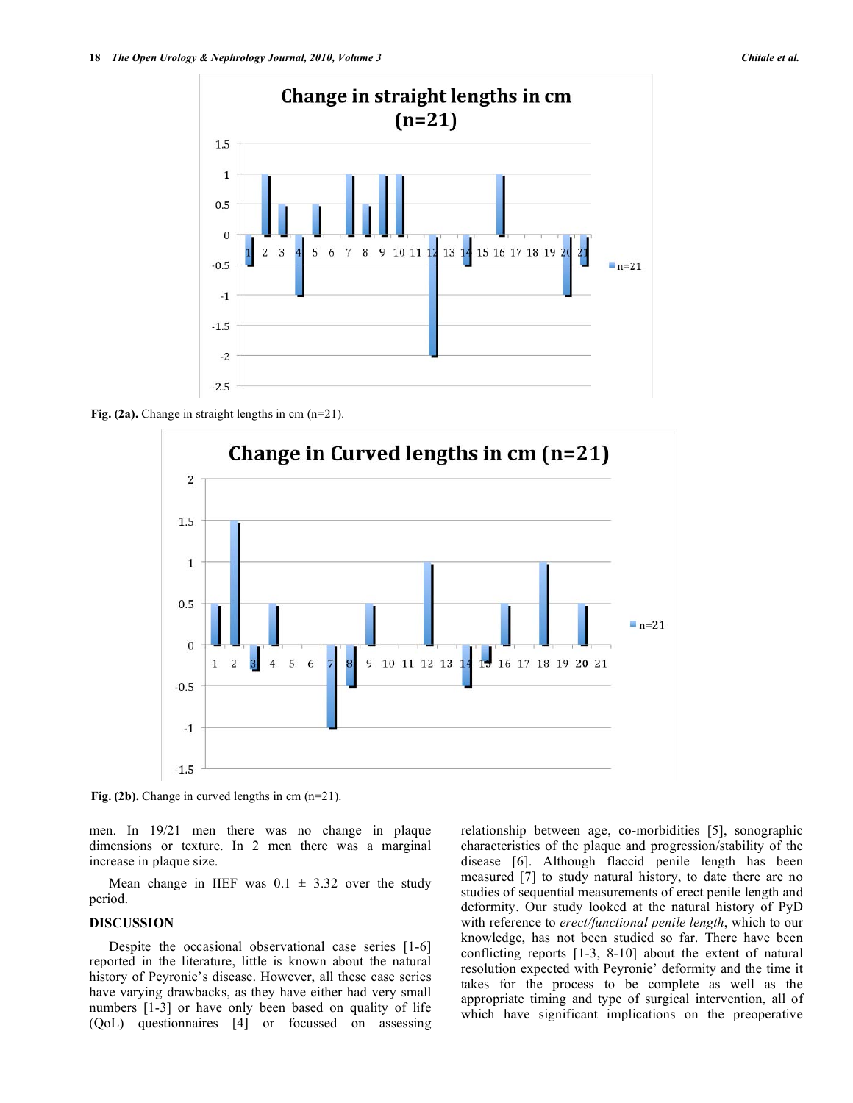

Fig. (2a). Change in straight lengths in cm (n=21).



**Fig. (2b).** Change in curved lengths in cm (n=21).

men. In 19/21 men there was no change in plaque dimensions or texture. In 2 men there was a marginal increase in plaque size.

Mean change in IIEF was  $0.1 \pm 3.32$  over the study period.

#### **DISCUSSION**

 Despite the occasional observational case series [1-6] reported in the literature, little is known about the natural history of Peyronie's disease. However, all these case series have varying drawbacks, as they have either had very small numbers [1-3] or have only been based on quality of life (QoL) questionnaires [4] or focussed on assessing relationship between age, co-morbidities [5], sonographic characteristics of the plaque and progression/stability of the disease [6]. Although flaccid penile length has been measured [7] to study natural history, to date there are no studies of sequential measurements of erect penile length and deformity. Our study looked at the natural history of PyD with reference to *erect/functional penile length*, which to our knowledge, has not been studied so far. There have been conflicting reports [1-3, 8-10] about the extent of natural resolution expected with Peyronie' deformity and the time it takes for the process to be complete as well as the appropriate timing and type of surgical intervention, all of which have significant implications on the preoperative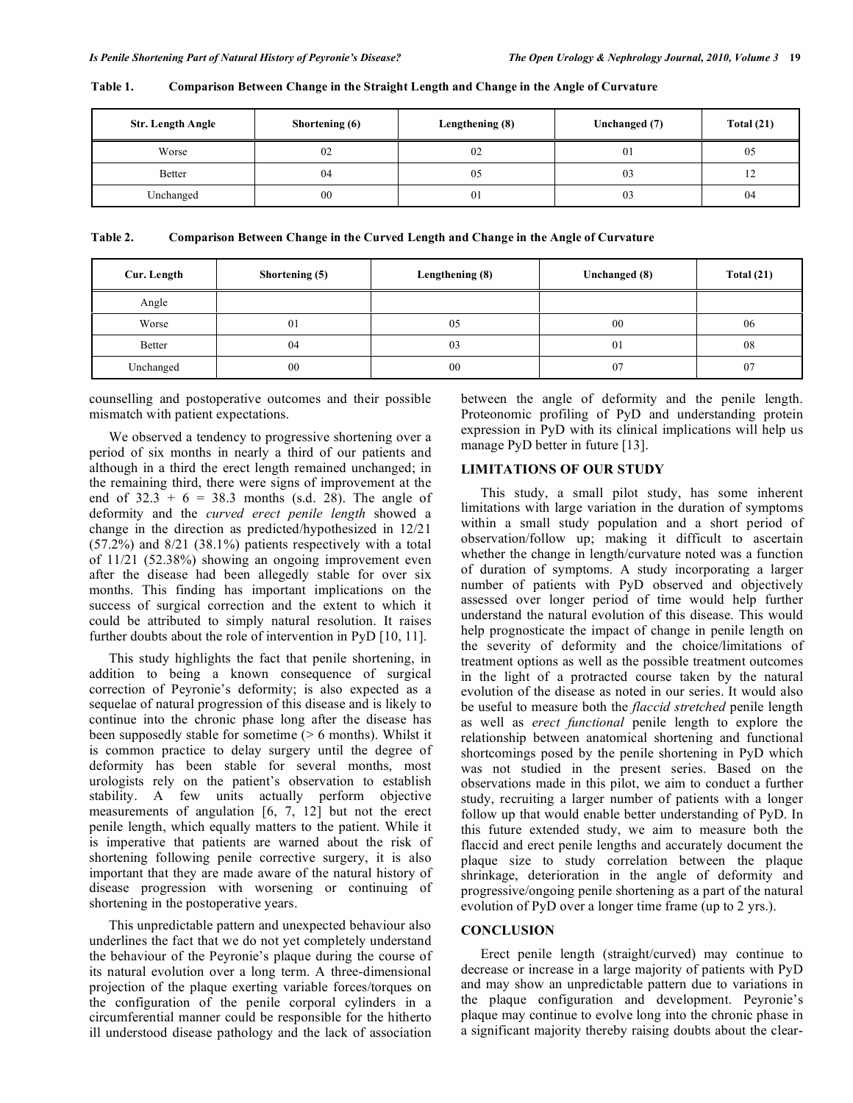| Str. Length Angle | Shortening (6) | Lengthening (8) | Unchanged (7) | Total $(21)$ |
|-------------------|----------------|-----------------|---------------|--------------|
| Worse             | 02             | 02              | 01            | 05           |
| <b>Better</b>     | 04             | 05              | 03            | 14           |
| Unchanged         | 00             | 01              | 03            | 04           |

**Table 1. Comparison Between Change in the Straight Length and Change in the Angle of Curvature** 

**Table 2. Comparison Between Change in the Curved Length and Change in the Angle of Curvature** 

| Cur. Length   | Shortening (5) | Lengthening (8) | Unchanged (8) | Total $(21)$ |
|---------------|----------------|-----------------|---------------|--------------|
| Angle         |                |                 |               |              |
| Worse         | 01             | 05              | 00            | 06           |
| <b>Better</b> | 04             | 03              | 01            | 08           |
| Unchanged     | 00             | 00              | 07            | 07           |

counselling and postoperative outcomes and their possible mismatch with patient expectations.

 We observed a tendency to progressive shortening over a period of six months in nearly a third of our patients and although in a third the erect length remained unchanged; in the remaining third, there were signs of improvement at the end of  $32.3 + 6 = 38.3$  months (s.d. 28). The angle of deformity and the *curved erect penile length* showed a change in the direction as predicted/hypothesized in 12/21 (57.2%) and 8/21 (38.1%) patients respectively with a total of 11/21 (52.38%) showing an ongoing improvement even after the disease had been allegedly stable for over six months. This finding has important implications on the success of surgical correction and the extent to which it could be attributed to simply natural resolution. It raises further doubts about the role of intervention in PyD [10, 11].

 This study highlights the fact that penile shortening, in addition to being a known consequence of surgical correction of Peyronie's deformity; is also expected as a sequelae of natural progression of this disease and is likely to continue into the chronic phase long after the disease has been supposedly stable for sometime (> 6 months). Whilst it is common practice to delay surgery until the degree of deformity has been stable for several months, most urologists rely on the patient's observation to establish stability. A few units actually perform objective measurements of angulation [6, 7, 12] but not the erect penile length, which equally matters to the patient. While it is imperative that patients are warned about the risk of shortening following penile corrective surgery, it is also important that they are made aware of the natural history of disease progression with worsening or continuing of shortening in the postoperative years.

 This unpredictable pattern and unexpected behaviour also underlines the fact that we do not yet completely understand the behaviour of the Peyronie's plaque during the course of its natural evolution over a long term. A three-dimensional projection of the plaque exerting variable forces/torques on the configuration of the penile corporal cylinders in a circumferential manner could be responsible for the hitherto ill understood disease pathology and the lack of association

between the angle of deformity and the penile length. Proteonomic profiling of PyD and understanding protein expression in PyD with its clinical implications will help us manage PyD better in future [13].

#### **LIMITATIONS OF OUR STUDY**

 This study, a small pilot study, has some inherent limitations with large variation in the duration of symptoms within a small study population and a short period of observation/follow up; making it difficult to ascertain whether the change in length/curvature noted was a function of duration of symptoms. A study incorporating a larger number of patients with PyD observed and objectively assessed over longer period of time would help further understand the natural evolution of this disease. This would help prognosticate the impact of change in penile length on the severity of deformity and the choice/limitations of treatment options as well as the possible treatment outcomes in the light of a protracted course taken by the natural evolution of the disease as noted in our series. It would also be useful to measure both the *flaccid stretched* penile length as well as *erect functional* penile length to explore the relationship between anatomical shortening and functional shortcomings posed by the penile shortening in PyD which was not studied in the present series. Based on the observations made in this pilot, we aim to conduct a further study, recruiting a larger number of patients with a longer follow up that would enable better understanding of PyD. In this future extended study, we aim to measure both the flaccid and erect penile lengths and accurately document the plaque size to study correlation between the plaque shrinkage, deterioration in the angle of deformity and progressive/ongoing penile shortening as a part of the natural evolution of PyD over a longer time frame (up to 2 yrs.).

# **CONCLUSION**

 Erect penile length (straight/curved) may continue to decrease or increase in a large majority of patients with PyD and may show an unpredictable pattern due to variations in the plaque configuration and development. Peyronie's plaque may continue to evolve long into the chronic phase in a significant majority thereby raising doubts about the clear